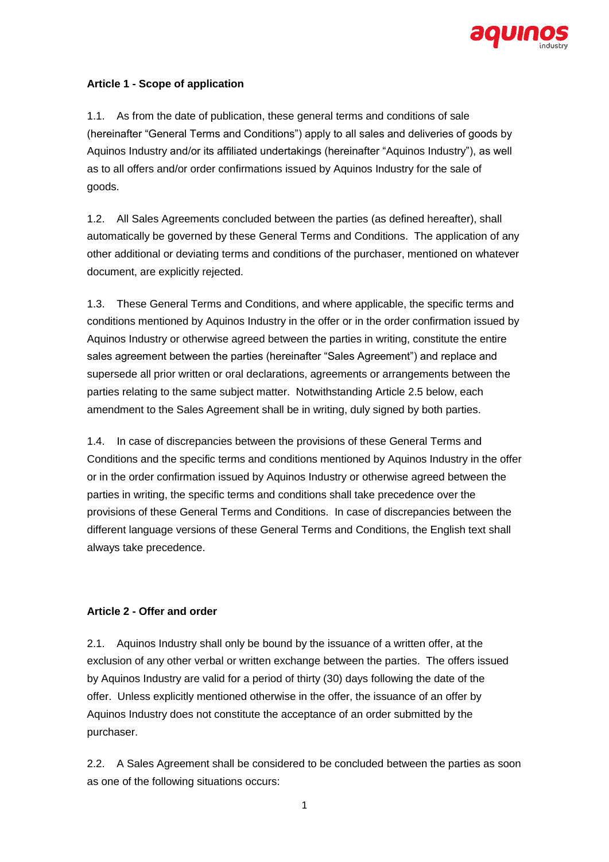

### **Article 1 - Scope of application**

1.1. As from the date of publication, these general terms and conditions of sale (hereinafter "General Terms and Conditions") apply to all sales and deliveries of goods by Aquinos Industry and/or its affiliated undertakings (hereinafter "Aquinos Industry"), as well as to all offers and/or order confirmations issued by Aquinos Industry for the sale of goods.

1.2. All Sales Agreements concluded between the parties (as defined hereafter), shall automatically be governed by these General Terms and Conditions. The application of any other additional or deviating terms and conditions of the purchaser, mentioned on whatever document, are explicitly rejected.

1.3. These General Terms and Conditions, and where applicable, the specific terms and conditions mentioned by Aquinos Industry in the offer or in the order confirmation issued by Aquinos Industry or otherwise agreed between the parties in writing, constitute the entire sales agreement between the parties (hereinafter "Sales Agreement") and replace and supersede all prior written or oral declarations, agreements or arrangements between the parties relating to the same subject matter. Notwithstanding Article 2.5 below, each amendment to the Sales Agreement shall be in writing, duly signed by both parties.

1.4. In case of discrepancies between the provisions of these General Terms and Conditions and the specific terms and conditions mentioned by Aquinos Industry in the offer or in the order confirmation issued by Aquinos Industry or otherwise agreed between the parties in writing, the specific terms and conditions shall take precedence over the provisions of these General Terms and Conditions. In case of discrepancies between the different language versions of these General Terms and Conditions, the English text shall always take precedence.

### **Article 2 - Offer and order**

2.1. Aquinos Industry shall only be bound by the issuance of a written offer, at the exclusion of any other verbal or written exchange between the parties. The offers issued by Aquinos Industry are valid for a period of thirty (30) days following the date of the offer. Unless explicitly mentioned otherwise in the offer, the issuance of an offer by Aquinos Industry does not constitute the acceptance of an order submitted by the purchaser.

2.2. A Sales Agreement shall be considered to be concluded between the parties as soon as one of the following situations occurs: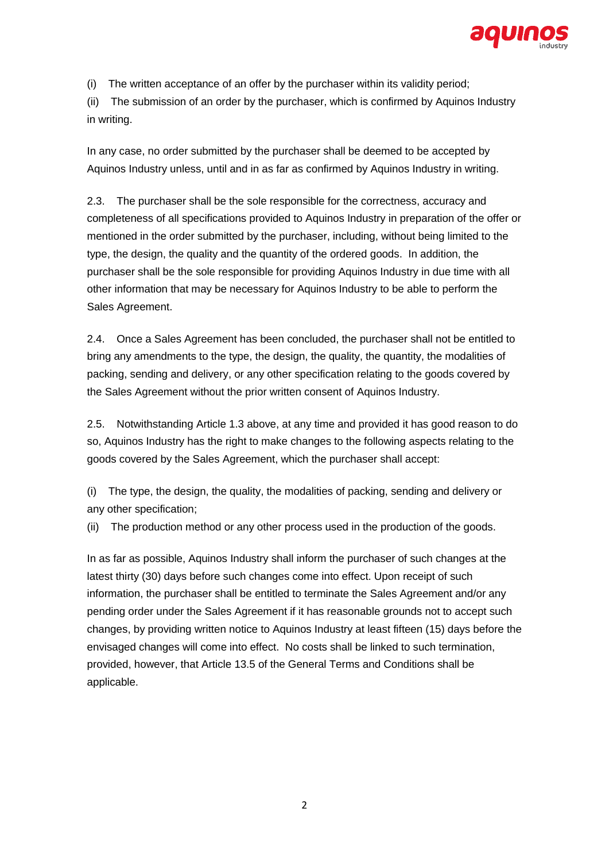

(i) The written acceptance of an offer by the purchaser within its validity period;

(ii) The submission of an order by the purchaser, which is confirmed by Aquinos Industry in writing.

In any case, no order submitted by the purchaser shall be deemed to be accepted by Aquinos Industry unless, until and in as far as confirmed by Aquinos Industry in writing.

2.3. The purchaser shall be the sole responsible for the correctness, accuracy and completeness of all specifications provided to Aquinos Industry in preparation of the offer or mentioned in the order submitted by the purchaser, including, without being limited to the type, the design, the quality and the quantity of the ordered goods. In addition, the purchaser shall be the sole responsible for providing Aquinos Industry in due time with all other information that may be necessary for Aquinos Industry to be able to perform the Sales Agreement.

2.4. Once a Sales Agreement has been concluded, the purchaser shall not be entitled to bring any amendments to the type, the design, the quality, the quantity, the modalities of packing, sending and delivery, or any other specification relating to the goods covered by the Sales Agreement without the prior written consent of Aquinos Industry.

2.5. Notwithstanding Article 1.3 above, at any time and provided it has good reason to do so, Aquinos Industry has the right to make changes to the following aspects relating to the goods covered by the Sales Agreement, which the purchaser shall accept:

(i) The type, the design, the quality, the modalities of packing, sending and delivery or any other specification;

(ii) The production method or any other process used in the production of the goods.

In as far as possible, Aquinos Industry shall inform the purchaser of such changes at the latest thirty (30) days before such changes come into effect. Upon receipt of such information, the purchaser shall be entitled to terminate the Sales Agreement and/or any pending order under the Sales Agreement if it has reasonable grounds not to accept such changes, by providing written notice to Aquinos Industry at least fifteen (15) days before the envisaged changes will come into effect. No costs shall be linked to such termination, provided, however, that Article 13.5 of the General Terms and Conditions shall be applicable.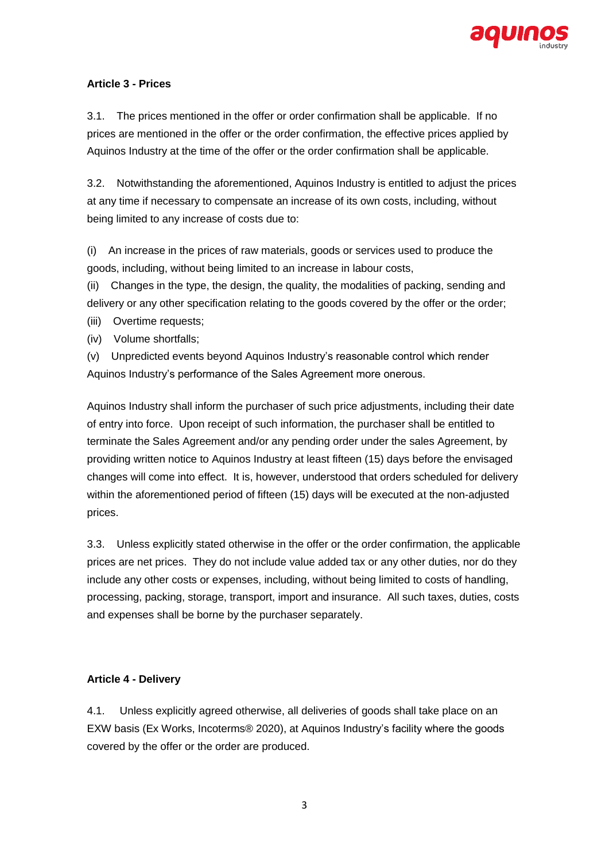

# **Article 3 - Prices**

3.1. The prices mentioned in the offer or order confirmation shall be applicable. If no prices are mentioned in the offer or the order confirmation, the effective prices applied by Aquinos Industry at the time of the offer or the order confirmation shall be applicable.

3.2. Notwithstanding the aforementioned, Aquinos Industry is entitled to adjust the prices at any time if necessary to compensate an increase of its own costs, including, without being limited to any increase of costs due to:

(i) An increase in the prices of raw materials, goods or services used to produce the goods, including, without being limited to an increase in labour costs,

(ii) Changes in the type, the design, the quality, the modalities of packing, sending and delivery or any other specification relating to the goods covered by the offer or the order;

- (iii) Overtime requests;
- (iv) Volume shortfalls;

(v) Unpredicted events beyond Aquinos Industry's reasonable control which render Aquinos Industry's performance of the Sales Agreement more onerous.

Aquinos Industry shall inform the purchaser of such price adjustments, including their date of entry into force. Upon receipt of such information, the purchaser shall be entitled to terminate the Sales Agreement and/or any pending order under the sales Agreement, by providing written notice to Aquinos Industry at least fifteen (15) days before the envisaged changes will come into effect. It is, however, understood that orders scheduled for delivery within the aforementioned period of fifteen (15) days will be executed at the non-adjusted prices.

3.3. Unless explicitly stated otherwise in the offer or the order confirmation, the applicable prices are net prices. They do not include value added tax or any other duties, nor do they include any other costs or expenses, including, without being limited to costs of handling, processing, packing, storage, transport, import and insurance. All such taxes, duties, costs and expenses shall be borne by the purchaser separately.

## **Article 4 - Delivery**

4.1. Unless explicitly agreed otherwise, all deliveries of goods shall take place on an EXW basis (Ex Works, Incoterms® 2020), at Aquinos Industry's facility where the goods covered by the offer or the order are produced.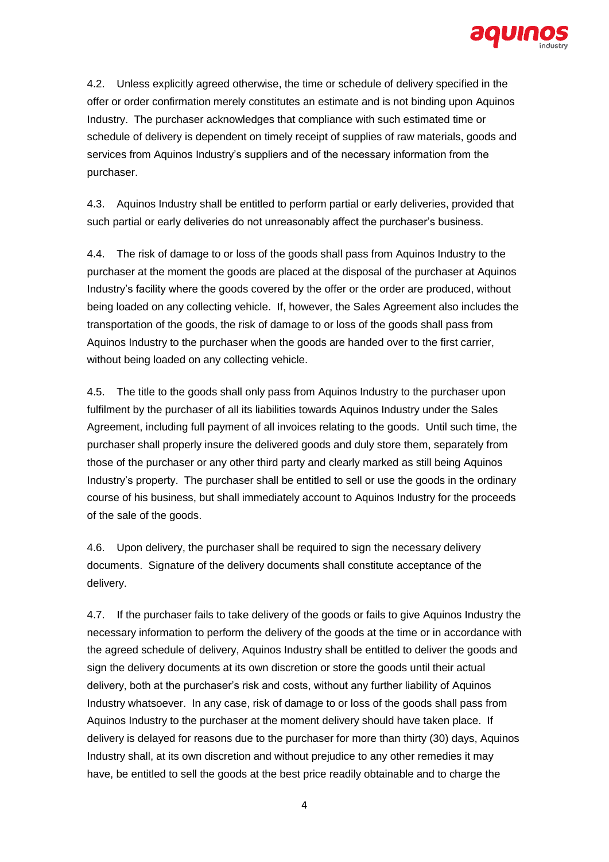

4.2. Unless explicitly agreed otherwise, the time or schedule of delivery specified in the offer or order confirmation merely constitutes an estimate and is not binding upon Aquinos Industry. The purchaser acknowledges that compliance with such estimated time or schedule of delivery is dependent on timely receipt of supplies of raw materials, goods and services from Aquinos Industry's suppliers and of the necessary information from the purchaser.

4.3. Aquinos Industry shall be entitled to perform partial or early deliveries, provided that such partial or early deliveries do not unreasonably affect the purchaser's business.

4.4. The risk of damage to or loss of the goods shall pass from Aquinos Industry to the purchaser at the moment the goods are placed at the disposal of the purchaser at Aquinos Industry's facility where the goods covered by the offer or the order are produced, without being loaded on any collecting vehicle. If, however, the Sales Agreement also includes the transportation of the goods, the risk of damage to or loss of the goods shall pass from Aquinos Industry to the purchaser when the goods are handed over to the first carrier, without being loaded on any collecting vehicle.

4.5. The title to the goods shall only pass from Aquinos Industry to the purchaser upon fulfilment by the purchaser of all its liabilities towards Aquinos Industry under the Sales Agreement, including full payment of all invoices relating to the goods. Until such time, the purchaser shall properly insure the delivered goods and duly store them, separately from those of the purchaser or any other third party and clearly marked as still being Aquinos Industry's property. The purchaser shall be entitled to sell or use the goods in the ordinary course of his business, but shall immediately account to Aquinos Industry for the proceeds of the sale of the goods.

4.6. Upon delivery, the purchaser shall be required to sign the necessary delivery documents. Signature of the delivery documents shall constitute acceptance of the delivery.

4.7. If the purchaser fails to take delivery of the goods or fails to give Aquinos Industry the necessary information to perform the delivery of the goods at the time or in accordance with the agreed schedule of delivery, Aquinos Industry shall be entitled to deliver the goods and sign the delivery documents at its own discretion or store the goods until their actual delivery, both at the purchaser's risk and costs, without any further liability of Aquinos Industry whatsoever. In any case, risk of damage to or loss of the goods shall pass from Aquinos Industry to the purchaser at the moment delivery should have taken place. If delivery is delayed for reasons due to the purchaser for more than thirty (30) days, Aquinos Industry shall, at its own discretion and without prejudice to any other remedies it may have, be entitled to sell the goods at the best price readily obtainable and to charge the

4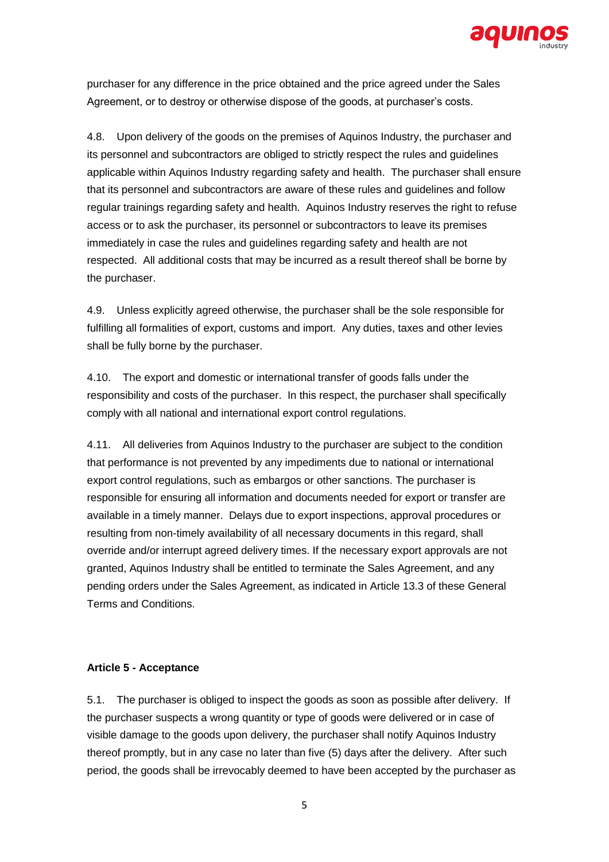

purchaser for any difference in the price obtained and the price agreed under the Sales Agreement, or to destroy or otherwise dispose of the goods, at purchaser's costs.

4.8. Upon delivery of the goods on the premises of Aquinos Industry, the purchaser and its personnel and subcontractors are obliged to strictly respect the rules and guidelines applicable within Aquinos Industry regarding safety and health. The purchaser shall ensure that its personnel and subcontractors are aware of these rules and guidelines and follow regular trainings regarding safety and health. Aquinos Industry reserves the right to refuse access or to ask the purchaser, its personnel or subcontractors to leave its premises immediately in case the rules and guidelines regarding safety and health are not respected. All additional costs that may be incurred as a result thereof shall be borne by the purchaser.

4.9. Unless explicitly agreed otherwise, the purchaser shall be the sole responsible for fulfilling all formalities of export, customs and import. Any duties, taxes and other levies shall be fully borne by the purchaser.

4.10. The export and domestic or international transfer of goods falls under the responsibility and costs of the purchaser. In this respect, the purchaser shall specifically comply with all national and international export control regulations.

4.11. All deliveries from Aquinos Industry to the purchaser are subject to the condition that performance is not prevented by any impediments due to national or international export control regulations, such as embargos or other sanctions. The purchaser is responsible for ensuring all information and documents needed for export or transfer are available in a timely manner. Delays due to export inspections, approval procedures or resulting from non-timely availability of all necessary documents in this regard, shall override and/or interrupt agreed delivery times. If the necessary export approvals are not granted, Aquinos Industry shall be entitled to terminate the Sales Agreement, and any pending orders under the Sales Agreement, as indicated in Article 13.3 of these General Terms and Conditions.

### **Article 5 - Acceptance**

5.1. The purchaser is obliged to inspect the goods as soon as possible after delivery. If the purchaser suspects a wrong quantity or type of goods were delivered or in case of visible damage to the goods upon delivery, the purchaser shall notify Aquinos Industry thereof promptly, but in any case no later than five (5) days after the delivery. After such period, the goods shall be irrevocably deemed to have been accepted by the purchaser as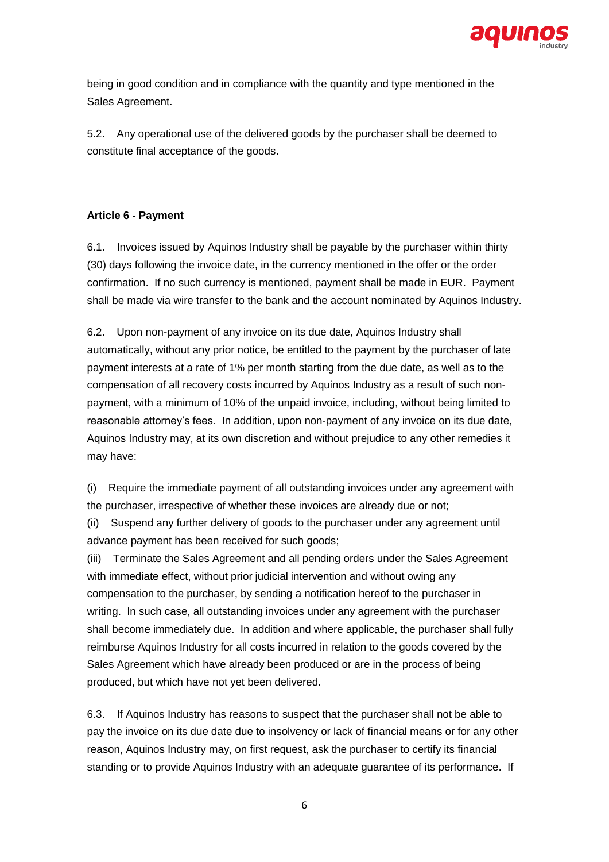

being in good condition and in compliance with the quantity and type mentioned in the Sales Agreement.

5.2. Any operational use of the delivered goods by the purchaser shall be deemed to constitute final acceptance of the goods.

# **Article 6 - Payment**

6.1. Invoices issued by Aquinos Industry shall be payable by the purchaser within thirty (30) days following the invoice date, in the currency mentioned in the offer or the order confirmation. If no such currency is mentioned, payment shall be made in EUR. Payment shall be made via wire transfer to the bank and the account nominated by Aquinos Industry.

6.2. Upon non-payment of any invoice on its due date, Aquinos Industry shall automatically, without any prior notice, be entitled to the payment by the purchaser of late payment interests at a rate of 1% per month starting from the due date, as well as to the compensation of all recovery costs incurred by Aquinos Industry as a result of such nonpayment, with a minimum of 10% of the unpaid invoice, including, without being limited to reasonable attorney's fees. In addition, upon non-payment of any invoice on its due date, Aquinos Industry may, at its own discretion and without prejudice to any other remedies it may have:

(i) Require the immediate payment of all outstanding invoices under any agreement with the purchaser, irrespective of whether these invoices are already due or not;

(ii) Suspend any further delivery of goods to the purchaser under any agreement until advance payment has been received for such goods;

(iii) Terminate the Sales Agreement and all pending orders under the Sales Agreement with immediate effect, without prior judicial intervention and without owing any compensation to the purchaser, by sending a notification hereof to the purchaser in writing. In such case, all outstanding invoices under any agreement with the purchaser shall become immediately due. In addition and where applicable, the purchaser shall fully reimburse Aquinos Industry for all costs incurred in relation to the goods covered by the Sales Agreement which have already been produced or are in the process of being produced, but which have not yet been delivered.

6.3. If Aquinos Industry has reasons to suspect that the purchaser shall not be able to pay the invoice on its due date due to insolvency or lack of financial means or for any other reason, Aquinos Industry may, on first request, ask the purchaser to certify its financial standing or to provide Aquinos Industry with an adequate guarantee of its performance. If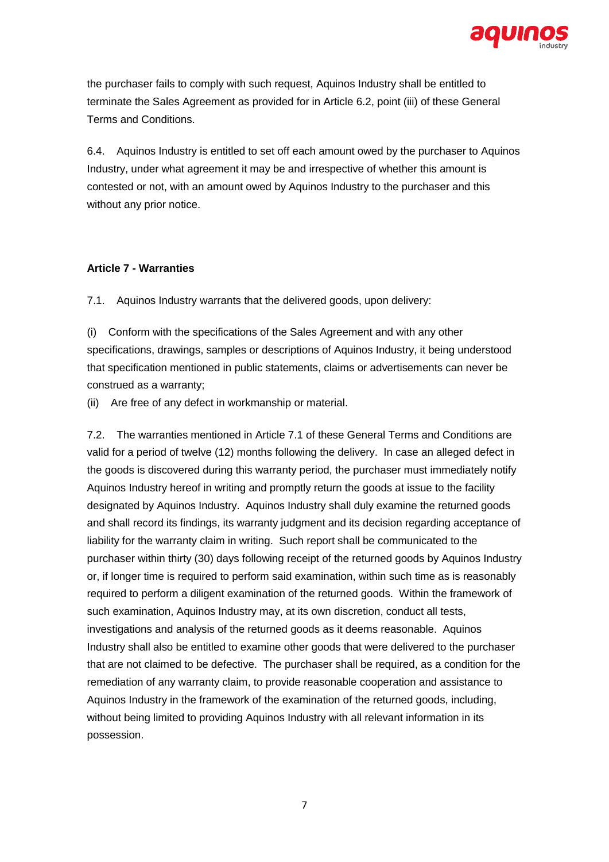

the purchaser fails to comply with such request, Aquinos Industry shall be entitled to terminate the Sales Agreement as provided for in Article 6.2, point (iii) of these General Terms and Conditions.

6.4. Aquinos Industry is entitled to set off each amount owed by the purchaser to Aquinos Industry, under what agreement it may be and irrespective of whether this amount is contested or not, with an amount owed by Aquinos Industry to the purchaser and this without any prior notice.

### **Article 7 - Warranties**

7.1. Aquinos Industry warrants that the delivered goods, upon delivery:

(i) Conform with the specifications of the Sales Agreement and with any other specifications, drawings, samples or descriptions of Aquinos Industry, it being understood that specification mentioned in public statements, claims or advertisements can never be construed as a warranty;

(ii) Are free of any defect in workmanship or material.

7.2. The warranties mentioned in Article 7.1 of these General Terms and Conditions are valid for a period of twelve (12) months following the delivery. In case an alleged defect in the goods is discovered during this warranty period, the purchaser must immediately notify Aquinos Industry hereof in writing and promptly return the goods at issue to the facility designated by Aquinos Industry. Aquinos Industry shall duly examine the returned goods and shall record its findings, its warranty judgment and its decision regarding acceptance of liability for the warranty claim in writing. Such report shall be communicated to the purchaser within thirty (30) days following receipt of the returned goods by Aquinos Industry or, if longer time is required to perform said examination, within such time as is reasonably required to perform a diligent examination of the returned goods. Within the framework of such examination, Aquinos Industry may, at its own discretion, conduct all tests, investigations and analysis of the returned goods as it deems reasonable. Aquinos Industry shall also be entitled to examine other goods that were delivered to the purchaser that are not claimed to be defective. The purchaser shall be required, as a condition for the remediation of any warranty claim, to provide reasonable cooperation and assistance to Aquinos Industry in the framework of the examination of the returned goods, including, without being limited to providing Aquinos Industry with all relevant information in its possession.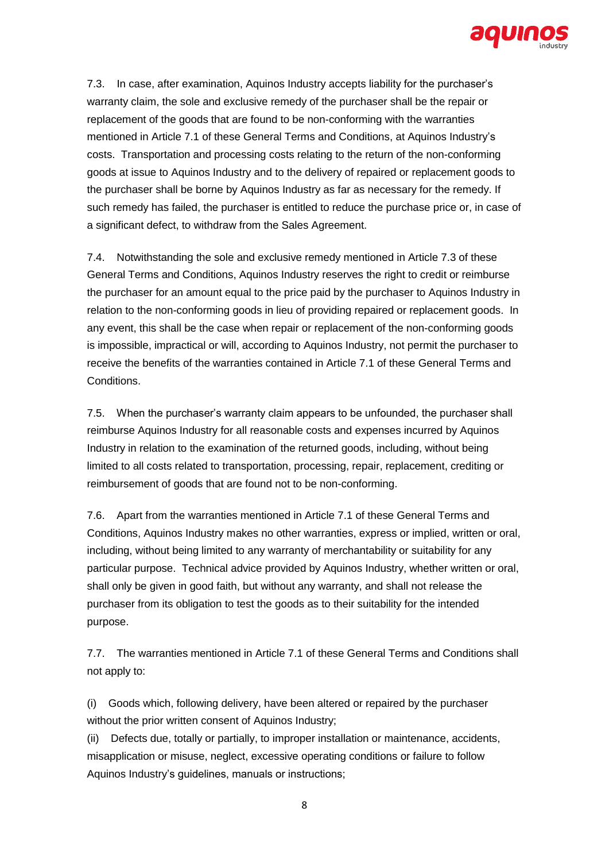

7.3. In case, after examination, Aquinos Industry accepts liability for the purchaser's warranty claim, the sole and exclusive remedy of the purchaser shall be the repair or replacement of the goods that are found to be non-conforming with the warranties mentioned in Article 7.1 of these General Terms and Conditions, at Aquinos Industry's costs. Transportation and processing costs relating to the return of the non-conforming goods at issue to Aquinos Industry and to the delivery of repaired or replacement goods to the purchaser shall be borne by Aquinos Industry as far as necessary for the remedy. If such remedy has failed, the purchaser is entitled to reduce the purchase price or, in case of a significant defect, to withdraw from the Sales Agreement.

7.4. Notwithstanding the sole and exclusive remedy mentioned in Article 7.3 of these General Terms and Conditions, Aquinos Industry reserves the right to credit or reimburse the purchaser for an amount equal to the price paid by the purchaser to Aquinos Industry in relation to the non-conforming goods in lieu of providing repaired or replacement goods. In any event, this shall be the case when repair or replacement of the non-conforming goods is impossible, impractical or will, according to Aquinos Industry, not permit the purchaser to receive the benefits of the warranties contained in Article 7.1 of these General Terms and **Conditions** 

7.5. When the purchaser's warranty claim appears to be unfounded, the purchaser shall reimburse Aquinos Industry for all reasonable costs and expenses incurred by Aquinos Industry in relation to the examination of the returned goods, including, without being limited to all costs related to transportation, processing, repair, replacement, crediting or reimbursement of goods that are found not to be non-conforming.

7.6. Apart from the warranties mentioned in Article 7.1 of these General Terms and Conditions, Aquinos Industry makes no other warranties, express or implied, written or oral, including, without being limited to any warranty of merchantability or suitability for any particular purpose. Technical advice provided by Aquinos Industry, whether written or oral, shall only be given in good faith, but without any warranty, and shall not release the purchaser from its obligation to test the goods as to their suitability for the intended purpose.

7.7. The warranties mentioned in Article 7.1 of these General Terms and Conditions shall not apply to:

(i) Goods which, following delivery, have been altered or repaired by the purchaser without the prior written consent of Aquinos Industry;

(ii) Defects due, totally or partially, to improper installation or maintenance, accidents, misapplication or misuse, neglect, excessive operating conditions or failure to follow Aquinos Industry's guidelines, manuals or instructions;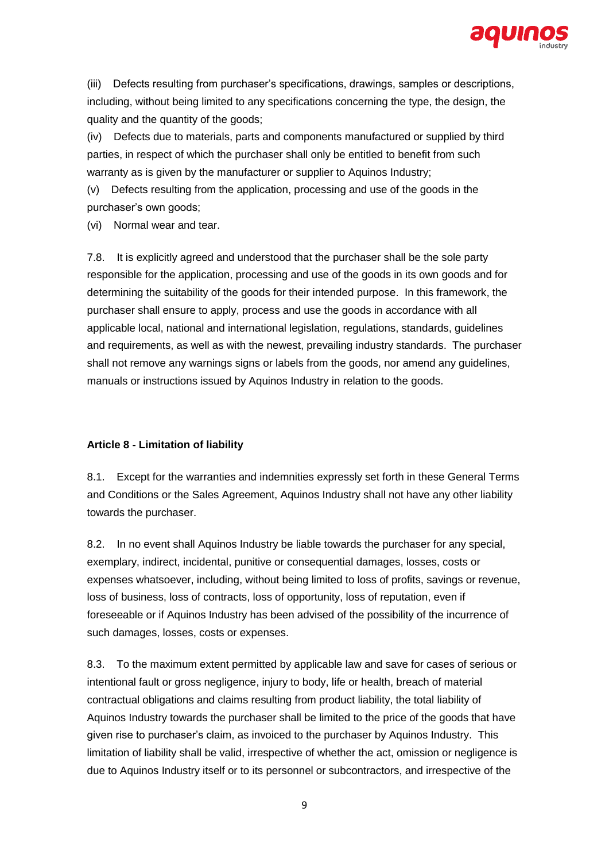

(iii) Defects resulting from purchaser's specifications, drawings, samples or descriptions, including, without being limited to any specifications concerning the type, the design, the quality and the quantity of the goods;

(iv) Defects due to materials, parts and components manufactured or supplied by third parties, in respect of which the purchaser shall only be entitled to benefit from such warranty as is given by the manufacturer or supplier to Aquinos Industry;

(v) Defects resulting from the application, processing and use of the goods in the purchaser's own goods;

(vi) Normal wear and tear.

7.8. It is explicitly agreed and understood that the purchaser shall be the sole party responsible for the application, processing and use of the goods in its own goods and for determining the suitability of the goods for their intended purpose. In this framework, the purchaser shall ensure to apply, process and use the goods in accordance with all applicable local, national and international legislation, regulations, standards, guidelines and requirements, as well as with the newest, prevailing industry standards. The purchaser shall not remove any warnings signs or labels from the goods, nor amend any guidelines, manuals or instructions issued by Aquinos Industry in relation to the goods.

## **Article 8 - Limitation of liability**

8.1. Except for the warranties and indemnities expressly set forth in these General Terms and Conditions or the Sales Agreement, Aquinos Industry shall not have any other liability towards the purchaser.

8.2. In no event shall Aquinos Industry be liable towards the purchaser for any special, exemplary, indirect, incidental, punitive or consequential damages, losses, costs or expenses whatsoever, including, without being limited to loss of profits, savings or revenue, loss of business, loss of contracts, loss of opportunity, loss of reputation, even if foreseeable or if Aquinos Industry has been advised of the possibility of the incurrence of such damages, losses, costs or expenses.

8.3. To the maximum extent permitted by applicable law and save for cases of serious or intentional fault or gross negligence, injury to body, life or health, breach of material contractual obligations and claims resulting from product liability, the total liability of Aquinos Industry towards the purchaser shall be limited to the price of the goods that have given rise to purchaser's claim, as invoiced to the purchaser by Aquinos Industry. This limitation of liability shall be valid, irrespective of whether the act, omission or negligence is due to Aquinos Industry itself or to its personnel or subcontractors, and irrespective of the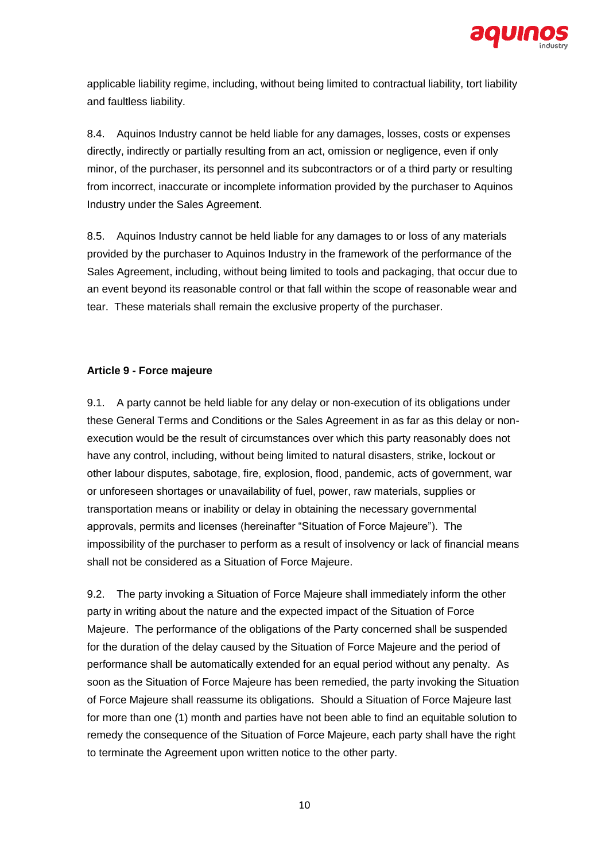

applicable liability regime, including, without being limited to contractual liability, tort liability and faultless liability.

8.4. Aquinos Industry cannot be held liable for any damages, losses, costs or expenses directly, indirectly or partially resulting from an act, omission or negligence, even if only minor, of the purchaser, its personnel and its subcontractors or of a third party or resulting from incorrect, inaccurate or incomplete information provided by the purchaser to Aquinos Industry under the Sales Agreement.

8.5. Aquinos Industry cannot be held liable for any damages to or loss of any materials provided by the purchaser to Aquinos Industry in the framework of the performance of the Sales Agreement, including, without being limited to tools and packaging, that occur due to an event beyond its reasonable control or that fall within the scope of reasonable wear and tear. These materials shall remain the exclusive property of the purchaser.

### **Article 9 - Force majeure**

9.1. A party cannot be held liable for any delay or non-execution of its obligations under these General Terms and Conditions or the Sales Agreement in as far as this delay or nonexecution would be the result of circumstances over which this party reasonably does not have any control, including, without being limited to natural disasters, strike, lockout or other labour disputes, sabotage, fire, explosion, flood, pandemic, acts of government, war or unforeseen shortages or unavailability of fuel, power, raw materials, supplies or transportation means or inability or delay in obtaining the necessary governmental approvals, permits and licenses (hereinafter "Situation of Force Majeure"). The impossibility of the purchaser to perform as a result of insolvency or lack of financial means shall not be considered as a Situation of Force Majeure.

9.2. The party invoking a Situation of Force Majeure shall immediately inform the other party in writing about the nature and the expected impact of the Situation of Force Majeure. The performance of the obligations of the Party concerned shall be suspended for the duration of the delay caused by the Situation of Force Majeure and the period of performance shall be automatically extended for an equal period without any penalty. As soon as the Situation of Force Majeure has been remedied, the party invoking the Situation of Force Majeure shall reassume its obligations. Should a Situation of Force Majeure last for more than one (1) month and parties have not been able to find an equitable solution to remedy the consequence of the Situation of Force Majeure, each party shall have the right to terminate the Agreement upon written notice to the other party.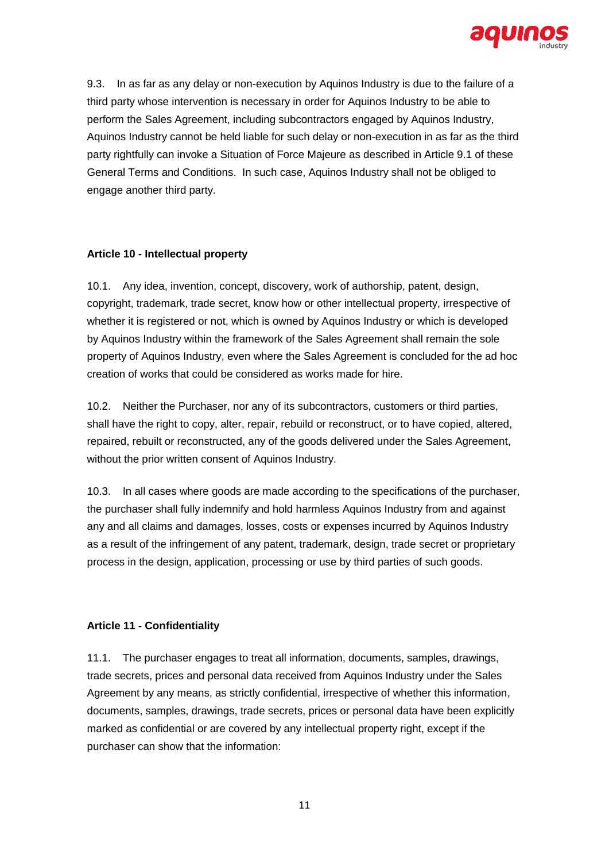

9.3. In as far as any delay or non-execution by Aquinos Industry is due to the failure of a third party whose intervention is necessary in order for Aquinos Industry to be able to perform the Sales Agreement, including subcontractors engaged by Aquinos Industry, Aquinos Industry cannot be held liable for such delay or non-execution in as far as the third party rightfully can invoke a Situation of Force Majeure as described in Article 9.1 of these General Terms and Conditions. In such case, Aquinos Industry shall not be obliged to engage another third party.

### **Article 10 - Intellectual property**

10.1. Any idea, invention, concept, discovery, work of authorship, patent, design, copyright, trademark, trade secret, know how or other intellectual property, irrespective of whether it is registered or not, which is owned by Aquinos Industry or which is developed by Aquinos Industry within the framework of the Sales Agreement shall remain the sole property of Aquinos Industry, even where the Sales Agreement is concluded for the ad hoc creation of works that could be considered as works made for hire.

10.2. Neither the Purchaser, nor any of its subcontractors, customers or third parties, shall have the right to copy, alter, repair, rebuild or reconstruct, or to have copied, altered, repaired, rebuilt or reconstructed, any of the goods delivered under the Sales Agreement, without the prior written consent of Aquinos Industry.

10.3. In all cases where goods are made according to the specifications of the purchaser, the purchaser shall fully indemnify and hold harmless Aquinos Industry from and against any and all claims and damages, losses, costs or expenses incurred by Aquinos Industry as a result of the infringement of any patent, trademark, design, trade secret or proprietary process in the design, application, processing or use by third parties of such goods.

## **Article 11 - Confidentiality**

11.1. The purchaser engages to treat all information, documents, samples, drawings, trade secrets, prices and personal data received from Aquinos Industry under the Sales Agreement by any means, as strictly confidential, irrespective of whether this information, documents, samples, drawings, trade secrets, prices or personal data have been explicitly marked as confidential or are covered by any intellectual property right, except if the purchaser can show that the information: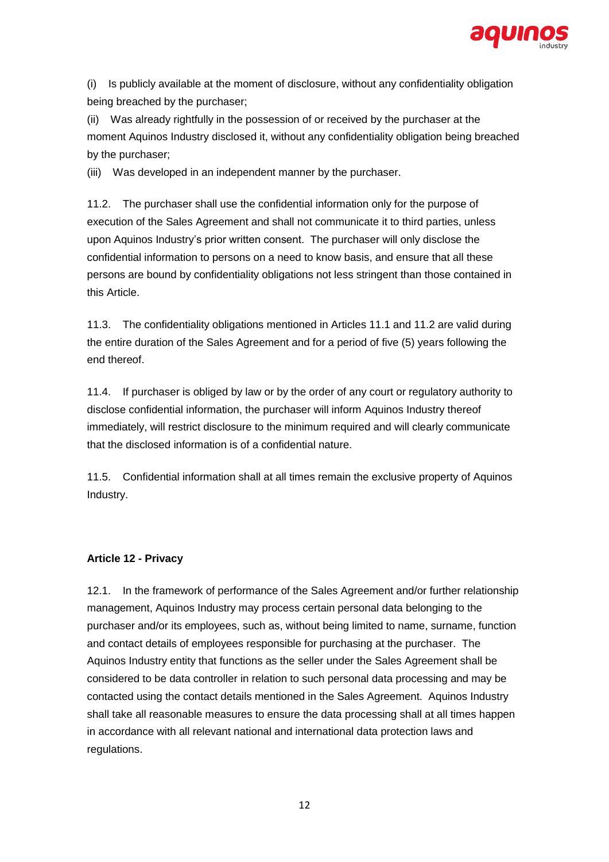

(i) Is publicly available at the moment of disclosure, without any confidentiality obligation being breached by the purchaser;

(ii) Was already rightfully in the possession of or received by the purchaser at the moment Aquinos Industry disclosed it, without any confidentiality obligation being breached by the purchaser;

(iii) Was developed in an independent manner by the purchaser.

11.2. The purchaser shall use the confidential information only for the purpose of execution of the Sales Agreement and shall not communicate it to third parties, unless upon Aquinos Industry's prior written consent. The purchaser will only disclose the confidential information to persons on a need to know basis, and ensure that all these persons are bound by confidentiality obligations not less stringent than those contained in this Article.

11.3. The confidentiality obligations mentioned in Articles 11.1 and 11.2 are valid during the entire duration of the Sales Agreement and for a period of five (5) years following the end thereof.

11.4. If purchaser is obliged by law or by the order of any court or regulatory authority to disclose confidential information, the purchaser will inform Aquinos Industry thereof immediately, will restrict disclosure to the minimum required and will clearly communicate that the disclosed information is of a confidential nature.

11.5. Confidential information shall at all times remain the exclusive property of Aquinos Industry.

## **Article 12 - Privacy**

12.1. In the framework of performance of the Sales Agreement and/or further relationship management, Aquinos Industry may process certain personal data belonging to the purchaser and/or its employees, such as, without being limited to name, surname, function and contact details of employees responsible for purchasing at the purchaser. The Aquinos Industry entity that functions as the seller under the Sales Agreement shall be considered to be data controller in relation to such personal data processing and may be contacted using the contact details mentioned in the Sales Agreement. Aquinos Industry shall take all reasonable measures to ensure the data processing shall at all times happen in accordance with all relevant national and international data protection laws and regulations.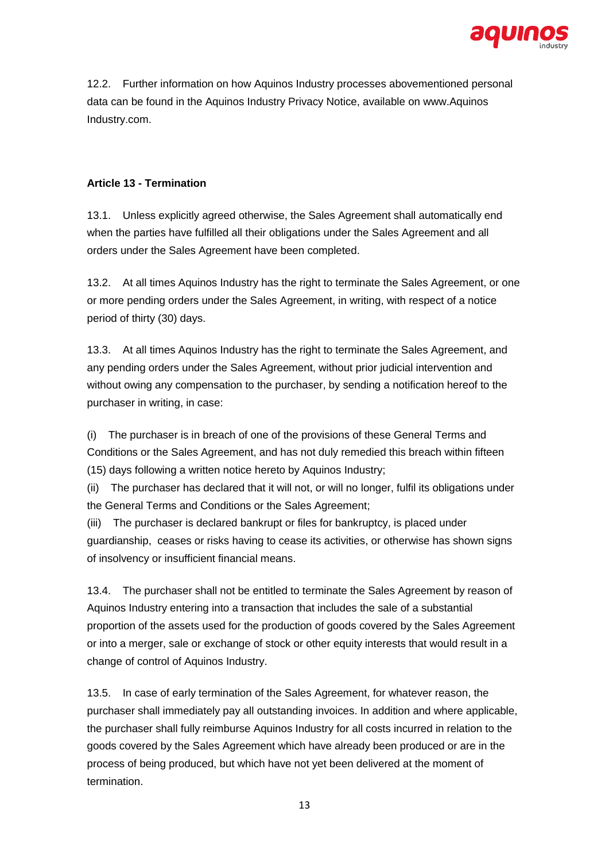

12.2. Further information on how Aquinos Industry processes abovementioned personal data can be found in the Aquinos Industry Privacy Notice, available on www.Aquinos Industry.com.

## **Article 13 - Termination**

13.1. Unless explicitly agreed otherwise, the Sales Agreement shall automatically end when the parties have fulfilled all their obligations under the Sales Agreement and all orders under the Sales Agreement have been completed.

13.2. At all times Aquinos Industry has the right to terminate the Sales Agreement, or one or more pending orders under the Sales Agreement, in writing, with respect of a notice period of thirty (30) days.

13.3. At all times Aquinos Industry has the right to terminate the Sales Agreement, and any pending orders under the Sales Agreement, without prior judicial intervention and without owing any compensation to the purchaser, by sending a notification hereof to the purchaser in writing, in case:

(i) The purchaser is in breach of one of the provisions of these General Terms and Conditions or the Sales Agreement, and has not duly remedied this breach within fifteen (15) days following a written notice hereto by Aquinos Industry;

(ii) The purchaser has declared that it will not, or will no longer, fulfil its obligations under the General Terms and Conditions or the Sales Agreement;

(iii) The purchaser is declared bankrupt or files for bankruptcy, is placed under guardianship, ceases or risks having to cease its activities, or otherwise has shown signs of insolvency or insufficient financial means.

13.4. The purchaser shall not be entitled to terminate the Sales Agreement by reason of Aquinos Industry entering into a transaction that includes the sale of a substantial proportion of the assets used for the production of goods covered by the Sales Agreement or into a merger, sale or exchange of stock or other equity interests that would result in a change of control of Aquinos Industry.

13.5. In case of early termination of the Sales Agreement, for whatever reason, the purchaser shall immediately pay all outstanding invoices. In addition and where applicable, the purchaser shall fully reimburse Aquinos Industry for all costs incurred in relation to the goods covered by the Sales Agreement which have already been produced or are in the process of being produced, but which have not yet been delivered at the moment of termination.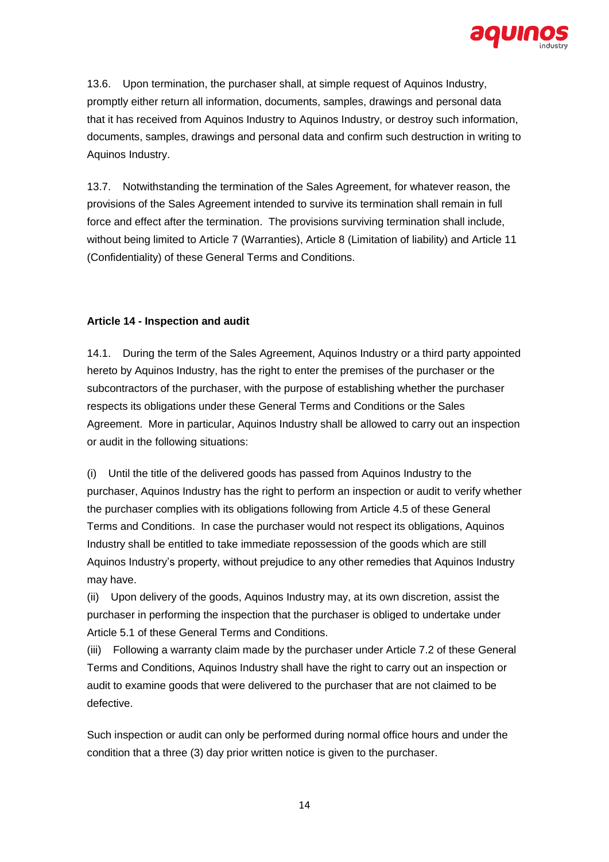

13.6. Upon termination, the purchaser shall, at simple request of Aquinos Industry, promptly either return all information, documents, samples, drawings and personal data that it has received from Aquinos Industry to Aquinos Industry, or destroy such information, documents, samples, drawings and personal data and confirm such destruction in writing to Aquinos Industry.

13.7. Notwithstanding the termination of the Sales Agreement, for whatever reason, the provisions of the Sales Agreement intended to survive its termination shall remain in full force and effect after the termination. The provisions surviving termination shall include, without being limited to Article 7 (Warranties), Article 8 (Limitation of liability) and Article 11 (Confidentiality) of these General Terms and Conditions.

# **Article 14 - Inspection and audit**

14.1. During the term of the Sales Agreement, Aquinos Industry or a third party appointed hereto by Aquinos Industry, has the right to enter the premises of the purchaser or the subcontractors of the purchaser, with the purpose of establishing whether the purchaser respects its obligations under these General Terms and Conditions or the Sales Agreement. More in particular, Aquinos Industry shall be allowed to carry out an inspection or audit in the following situations:

(i) Until the title of the delivered goods has passed from Aquinos Industry to the purchaser, Aquinos Industry has the right to perform an inspection or audit to verify whether the purchaser complies with its obligations following from Article 4.5 of these General Terms and Conditions. In case the purchaser would not respect its obligations, Aquinos Industry shall be entitled to take immediate repossession of the goods which are still Aquinos Industry's property, without prejudice to any other remedies that Aquinos Industry may have.

(ii) Upon delivery of the goods, Aquinos Industry may, at its own discretion, assist the purchaser in performing the inspection that the purchaser is obliged to undertake under Article 5.1 of these General Terms and Conditions.

(iii) Following a warranty claim made by the purchaser under Article 7.2 of these General Terms and Conditions, Aquinos Industry shall have the right to carry out an inspection or audit to examine goods that were delivered to the purchaser that are not claimed to be defective.

Such inspection or audit can only be performed during normal office hours and under the condition that a three (3) day prior written notice is given to the purchaser.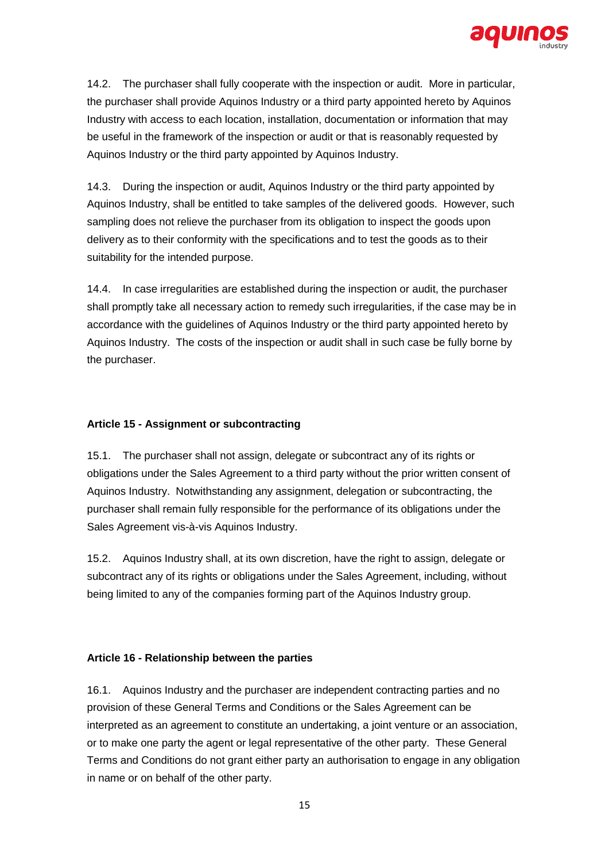

14.2. The purchaser shall fully cooperate with the inspection or audit. More in particular, the purchaser shall provide Aquinos Industry or a third party appointed hereto by Aquinos Industry with access to each location, installation, documentation or information that may be useful in the framework of the inspection or audit or that is reasonably requested by Aquinos Industry or the third party appointed by Aquinos Industry.

14.3. During the inspection or audit, Aquinos Industry or the third party appointed by Aquinos Industry, shall be entitled to take samples of the delivered goods. However, such sampling does not relieve the purchaser from its obligation to inspect the goods upon delivery as to their conformity with the specifications and to test the goods as to their suitability for the intended purpose.

14.4. In case irregularities are established during the inspection or audit, the purchaser shall promptly take all necessary action to remedy such irregularities, if the case may be in accordance with the guidelines of Aquinos Industry or the third party appointed hereto by Aquinos Industry. The costs of the inspection or audit shall in such case be fully borne by the purchaser.

### **Article 15 - Assignment or subcontracting**

15.1. The purchaser shall not assign, delegate or subcontract any of its rights or obligations under the Sales Agreement to a third party without the prior written consent of Aquinos Industry. Notwithstanding any assignment, delegation or subcontracting, the purchaser shall remain fully responsible for the performance of its obligations under the Sales Agreement vis-à-vis Aquinos Industry.

15.2. Aquinos Industry shall, at its own discretion, have the right to assign, delegate or subcontract any of its rights or obligations under the Sales Agreement, including, without being limited to any of the companies forming part of the Aquinos Industry group.

### **Article 16 - Relationship between the parties**

16.1. Aquinos Industry and the purchaser are independent contracting parties and no provision of these General Terms and Conditions or the Sales Agreement can be interpreted as an agreement to constitute an undertaking, a joint venture or an association, or to make one party the agent or legal representative of the other party. These General Terms and Conditions do not grant either party an authorisation to engage in any obligation in name or on behalf of the other party.